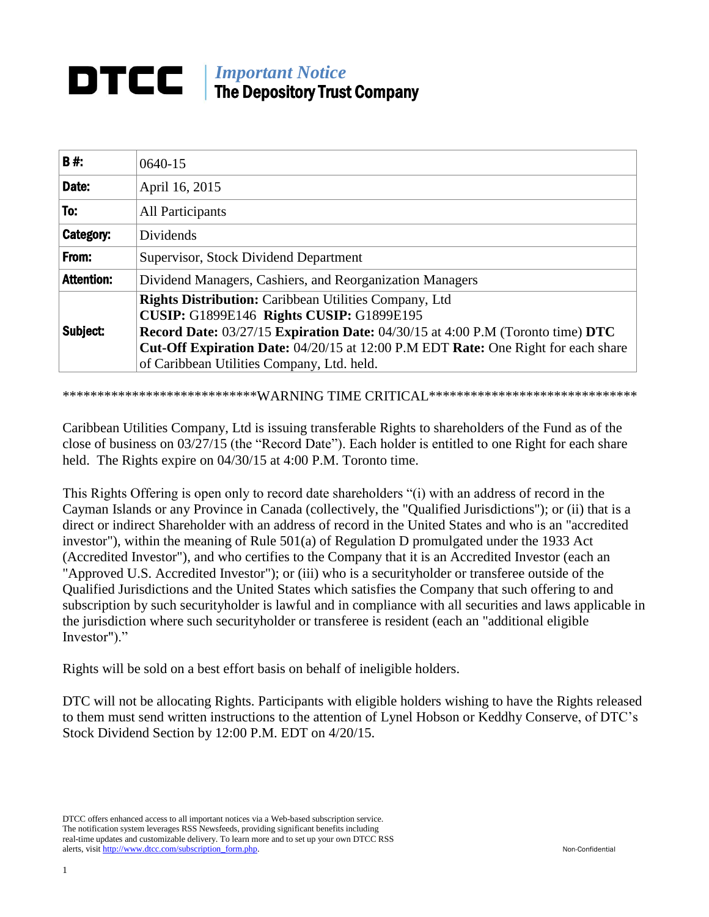## *Important Notice* DTCC I The Depository Trust Company

| <b>B#:</b>        | $0640 - 15$                                                                                                                                                                                                                                                                                                                                        |  |
|-------------------|----------------------------------------------------------------------------------------------------------------------------------------------------------------------------------------------------------------------------------------------------------------------------------------------------------------------------------------------------|--|
| Date:             | April 16, 2015                                                                                                                                                                                                                                                                                                                                     |  |
| To:               | All Participants                                                                                                                                                                                                                                                                                                                                   |  |
| Category:         | Dividends                                                                                                                                                                                                                                                                                                                                          |  |
| From:             | Supervisor, Stock Dividend Department                                                                                                                                                                                                                                                                                                              |  |
| <b>Attention:</b> | Dividend Managers, Cashiers, and Reorganization Managers                                                                                                                                                                                                                                                                                           |  |
| Subject:          | <b>Rights Distribution:</b> Caribbean Utilities Company, Ltd<br><b>CUSIP: G1899E146 Rights CUSIP: G1899E195</b><br><b>Record Date: 03/27/15 Expiration Date: 04/30/15 at 4:00 P.M (Toronto time) DTC</b><br><b>Cut-Off Expiration Date:</b> 04/20/15 at 12:00 P.M EDT Rate: One Right for each share<br>of Caribbean Utilities Company, Ltd. held. |  |

\*\*\*\*\*\*\*\*\*\*\*\*\*\*\*\*\*\*\*\*\*\*\*\*\*\*\*\*\*WARNING TIME CRITICAL\*\*\*\*\*\*\*\*\*\*\*\*\*\*\*\*\*\*\*\*\*\*\*\*\*\*\*\*\*

Caribbean Utilities Company, Ltd is issuing transferable Rights to shareholders of the Fund as of the close of business on 03/27/15 (the "Record Date"). Each holder is entitled to one Right for each share held. The Rights expire on 04/30/15 at 4:00 P.M. Toronto time.

This Rights Offering is open only to record date shareholders "(i) with an address of record in the Cayman Islands or any Province in Canada (collectively, the "Qualified Jurisdictions"); or (ii) that is a direct or indirect Shareholder with an address of record in the United States and who is an "accredited investor"), within the meaning of Rule 501(a) of Regulation D promulgated under the 1933 Act (Accredited Investor"), and who certifies to the Company that it is an Accredited Investor (each an "Approved U.S. Accredited Investor"); or (iii) who is a securityholder or transferee outside of the Qualified Jurisdictions and the United States which satisfies the Company that such offering to and subscription by such securityholder is lawful and in compliance with all securities and laws applicable in the jurisdiction where such securityholder or transferee is resident (each an "additional eligible Investor")."

Rights will be sold on a best effort basis on behalf of ineligible holders.

DTC will not be allocating Rights. Participants with eligible holders wishing to have the Rights released to them must send written instructions to the attention of Lynel Hobson or Keddhy Conserve, of DTC's Stock Dividend Section by 12:00 P.M. EDT on 4/20/15.

DTCC offers enhanced access to all important notices via a Web-based subscription service. The notification system leverages RSS Newsfeeds, providing significant benefits including real-time updates and customizable delivery. To learn more and to set up your own DTCC RSS alerts, visit [http://www.dtcc.com/subscription\\_form.php.](http://www.dtcc.com/subscription_form.php) Non-Confidential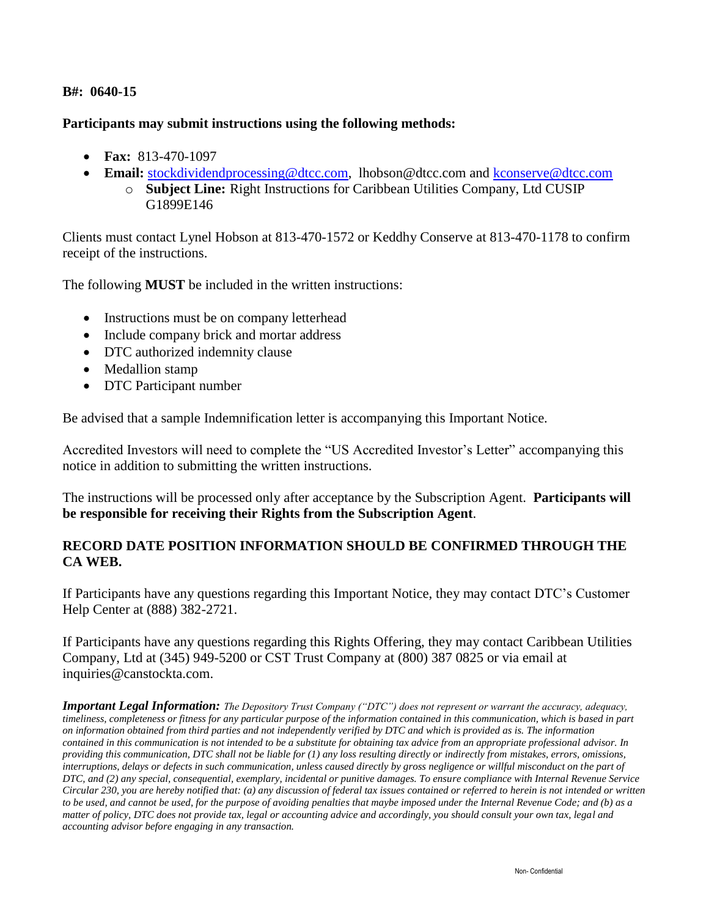## **B#: 0640-15**

## **Participants may submit instructions using the following methods:**

- **Fax:** 813-470-1097
- **Email:** [stockdividendprocessing@dtcc.com,](mailto:stockdividendprocessing@dtcc.com) [lhobson@dtcc.com](mailto:lhobson@dtcc.com) and [kconserve@dtcc.com](mailto:kconserve@dtcc.com)
	- o **Subject Line:** Right Instructions for Caribbean Utilities Company, Ltd CUSIP G1899E146

Clients must contact Lynel Hobson at 813-470-1572 or Keddhy Conserve at 813-470-1178 to confirm receipt of the instructions.

The following **MUST** be included in the written instructions:

- Instructions must be on company letterhead
- Include company brick and mortar address
- DTC authorized indemnity clause
- Medallion stamp
- DTC Participant number

Be advised that a sample Indemnification letter is accompanying this Important Notice.

Accredited Investors will need to complete the "US Accredited Investor's Letter" accompanying this notice in addition to submitting the written instructions.

The instructions will be processed only after acceptance by the Subscription Agent. **Participants will be responsible for receiving their Rights from the Subscription Agent**.

# **RECORD DATE POSITION INFORMATION SHOULD BE CONFIRMED THROUGH THE CA WEB.**

If Participants have any questions regarding this Important Notice, they may contact DTC's Customer Help Center at (888) 382-2721.

If Participants have any questions regarding this Rights Offering, they may contact Caribbean Utilities Company, Ltd at (345) 949-5200 or CST Trust Company at (800) 387 0825 or via email at [inquiries@canstockta.com.](mailto:inquiries@canstockta.com)

*Important Legal Information: The Depository Trust Company ("DTC") does not represent or warrant the accuracy, adequacy, timeliness, completeness or fitness for any particular purpose of the information contained in this communication, which is based in part on information obtained from third parties and not independently verified by DTC and which is provided as is. The information contained in this communication is not intended to be a substitute for obtaining tax advice from an appropriate professional advisor. In providing this communication, DTC shall not be liable for (1) any loss resulting directly or indirectly from mistakes, errors, omissions, interruptions, delays or defects in such communication, unless caused directly by gross negligence or willful misconduct on the part of DTC, and (2) any special, consequential, exemplary, incidental or punitive damages. To ensure compliance with Internal Revenue Service Circular 230, you are hereby notified that: (a) any discussion of federal tax issues contained or referred to herein is not intended or written to be used, and cannot be used, for the purpose of avoiding penalties that maybe imposed under the Internal Revenue Code; and (b) as a matter of policy, DTC does not provide tax, legal or accounting advice and accordingly, you should consult your own tax, legal and accounting advisor before engaging in any transaction.*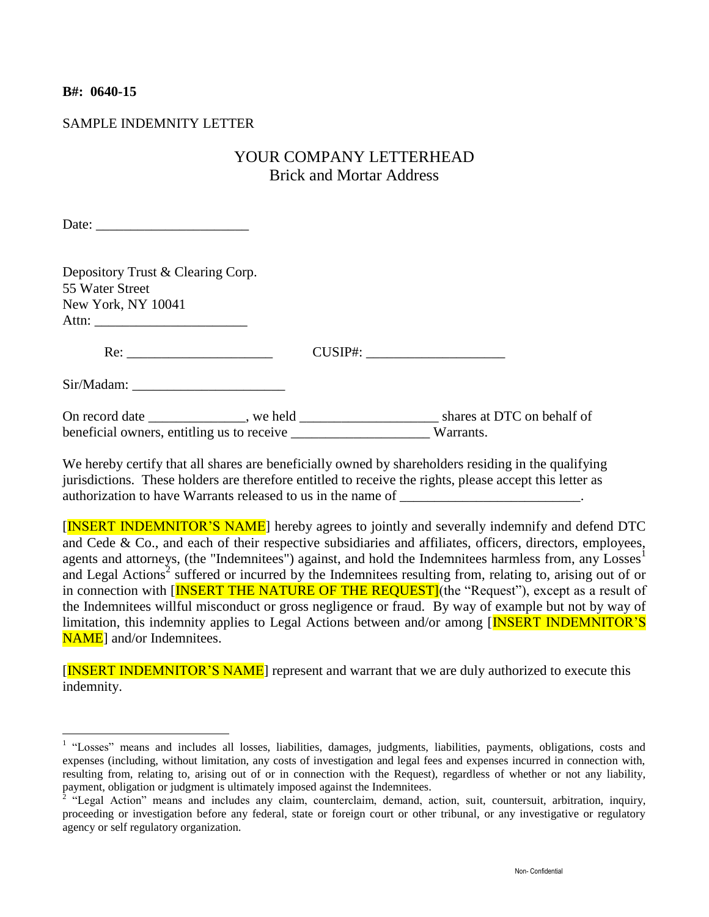## **B#: 0640-15**

## SAMPLE INDEMNITY LETTER

# YOUR COMPANY LETTERHEAD Brick and Mortar Address

Date:

Depository Trust & Clearing Corp. 55 Water Street New York, NY 10041 Attn: \_\_\_\_\_\_\_\_\_\_\_\_\_\_\_\_\_\_\_\_\_\_

Re: CUSIP#:

Sir/Madam: \_\_\_\_\_\_\_\_\_\_\_\_\_\_\_\_\_\_\_\_\_\_

On record date \_\_\_\_\_\_\_\_\_\_\_\_\_, we held \_\_\_\_\_\_\_\_\_\_\_\_\_\_\_\_\_\_\_\_\_\_\_\_\_\_\_ shares at DTC on behalf of beneficial owners, entitling us to receive \_\_\_\_\_\_\_\_\_\_\_\_\_\_\_\_\_\_\_\_\_\_\_\_ Warrants.

We hereby certify that all shares are beneficially owned by shareholders residing in the qualifying jurisdictions. These holders are therefore entitled to receive the rights, please accept this letter as authorization to have Warrants released to us in the name of \_\_\_\_\_\_\_\_\_\_\_\_\_\_\_\_\_\_\_\_

[INSERT INDEMNITOR'S NAME] hereby agrees to jointly and severally indemnify and defend DTC and Cede & Co., and each of their respective subsidiaries and affiliates, officers, directors, employees, agents and attorneys, (the "Indemnitees") against, and hold the Indemnitees harmless from, any Losses<sup>1</sup> and Legal Actions<sup>2</sup> suffered or incurred by the Indemnitees resulting from, relating to, arising out of or in connection with [INSERT THE NATURE OF THE REQUEST] (the "Request"), except as a result of the Indemnitees willful misconduct or gross negligence or fraud. By way of example but not by way of limitation, this indemnity applies to Legal Actions between and/or among [INSERT INDEMNITOR'S NAME<sub>l</sub> and/or Indemnitees.

[INSERT INDEMNITOR'S NAME] represent and warrant that we are duly authorized to execute this indemnity.

 1 "Losses" means and includes all losses, liabilities, damages, judgments, liabilities, payments, obligations, costs and expenses (including, without limitation, any costs of investigation and legal fees and expenses incurred in connection with, resulting from, relating to, arising out of or in connection with the Request), regardless of whether or not any liability, payment, obligation or judgment is ultimately imposed against the Indemnitees.

<sup>&</sup>lt;sup>2</sup> "Legal Action" means and includes any claim, counterclaim, demand, action, suit, countersuit, arbitration, inquiry, proceeding or investigation before any federal, state or foreign court or other tribunal, or any investigative or regulatory agency or self regulatory organization.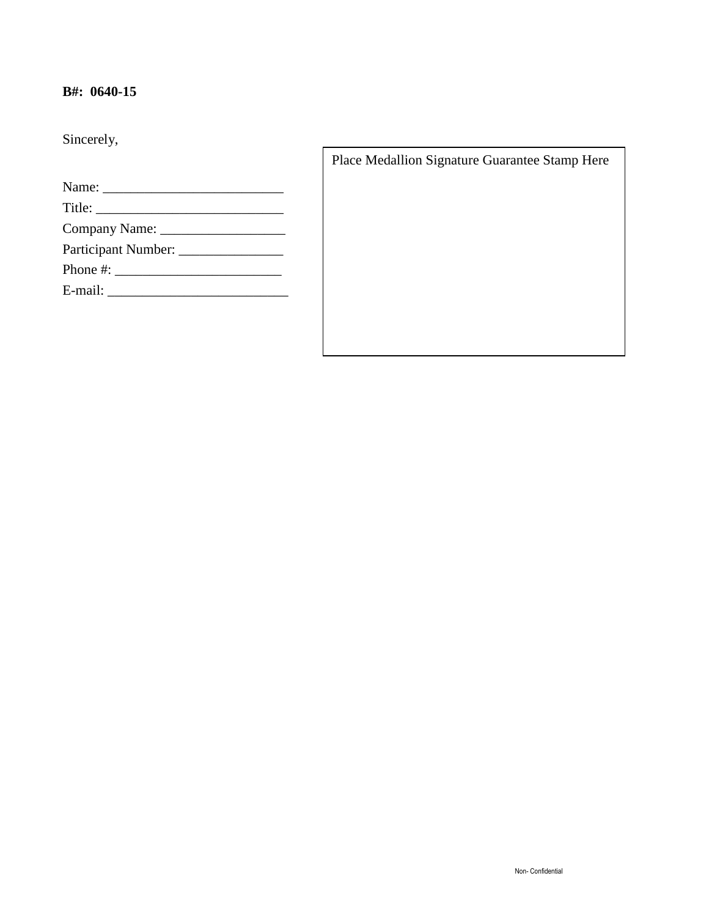# **B#: 0640-15**

Sincerely,

| Participant Number: ________________                                                                                                                                                                                                                                                                   |  |  |
|--------------------------------------------------------------------------------------------------------------------------------------------------------------------------------------------------------------------------------------------------------------------------------------------------------|--|--|
| Phone #: $\frac{1}{2}$ = $\frac{1}{2}$ = $\frac{1}{2}$ = $\frac{1}{2}$ = $\frac{1}{2}$ = $\frac{1}{2}$ = $\frac{1}{2}$ = $\frac{1}{2}$ = $\frac{1}{2}$ = $\frac{1}{2}$ = $\frac{1}{2}$ = $\frac{1}{2}$ = $\frac{1}{2}$ = $\frac{1}{2}$ = $\frac{1}{2}$ = $\frac{1}{2}$ = $\frac{1}{2}$ = $\frac{1}{2}$ |  |  |
|                                                                                                                                                                                                                                                                                                        |  |  |

Place Medallion Signature Guarantee Stamp Here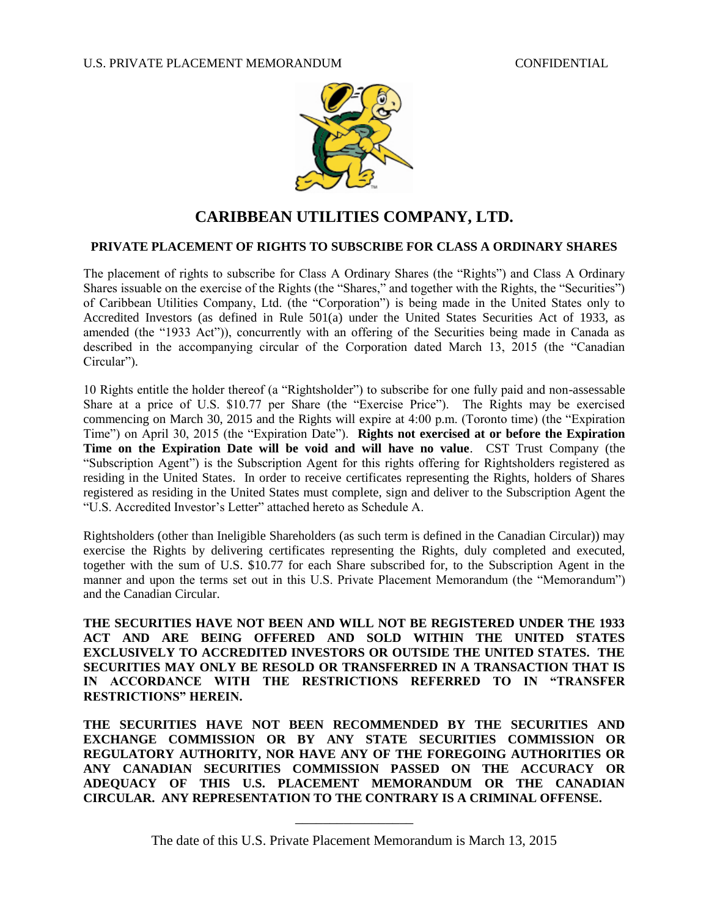

# **CARIBBEAN UTILITIES COMPANY, LTD.**

#### **PRIVATE PLACEMENT OF RIGHTS TO SUBSCRIBE FOR CLASS A ORDINARY SHARES**

The placement of rights to subscribe for Class A Ordinary Shares (the "Rights") and Class A Ordinary Shares issuable on the exercise of the Rights (the "Shares," and together with the Rights, the "Securities") of Caribbean Utilities Company, Ltd. (the "Corporation") is being made in the United States only to Accredited Investors (as defined in Rule 501(a) under the United States Securities Act of 1933, as amended (the "1933 Act")), concurrently with an offering of the Securities being made in Canada as described in the accompanying circular of the Corporation dated March 13, 2015 (the "Canadian Circular").

10 Rights entitle the holder thereof (a "Rightsholder") to subscribe for one fully paid and non-assessable Share at a price of U.S. \$10.77 per Share (the "Exercise Price"). The Rights may be exercised commencing on March 30, 2015 and the Rights will expire at 4:00 p.m. (Toronto time) (the "Expiration Time") on April 30, 2015 (the "Expiration Date"). **Rights not exercised at or before the Expiration Time on the Expiration Date will be void and will have no value**. CST Trust Company (the "Subscription Agent") is the Subscription Agent for this rights offering for Rightsholders registered as residing in the United States. In order to receive certificates representing the Rights, holders of Shares registered as residing in the United States must complete, sign and deliver to the Subscription Agent the "U.S. Accredited Investor's Letter" attached hereto as Schedule A.

Rightsholders (other than Ineligible Shareholders (as such term is defined in the Canadian Circular)) may exercise the Rights by delivering certificates representing the Rights, duly completed and executed, together with the sum of U.S. \$10.77 for each Share subscribed for, to the Subscription Agent in the manner and upon the terms set out in this U.S. Private Placement Memorandum (the "Memorandum") and the Canadian Circular.

**THE SECURITIES HAVE NOT BEEN AND WILL NOT BE REGISTERED UNDER THE 1933 ACT AND ARE BEING OFFERED AND SOLD WITHIN THE UNITED STATES EXCLUSIVELY TO ACCREDITED INVESTORS OR OUTSIDE THE UNITED STATES. THE SECURITIES MAY ONLY BE RESOLD OR TRANSFERRED IN A TRANSACTION THAT IS IN ACCORDANCE WITH THE RESTRICTIONS REFERRED TO IN "TRANSFER RESTRICTIONS" HEREIN.** 

**THE SECURITIES HAVE NOT BEEN RECOMMENDED BY THE SECURITIES AND EXCHANGE COMMISSION OR BY ANY STATE SECURITIES COMMISSION OR REGULATORY AUTHORITY, NOR HAVE ANY OF THE FOREGOING AUTHORITIES OR ANY CANADIAN SECURITIES COMMISSION PASSED ON THE ACCURACY OR ADEQUACY OF THIS U.S. PLACEMENT MEMORANDUM OR THE CANADIAN CIRCULAR. ANY REPRESENTATION TO THE CONTRARY IS A CRIMINAL OFFENSE.**

\_\_\_\_\_\_\_\_\_\_\_\_\_\_\_\_\_ The date of this U.S. Private Placement Memorandum is March 13, 2015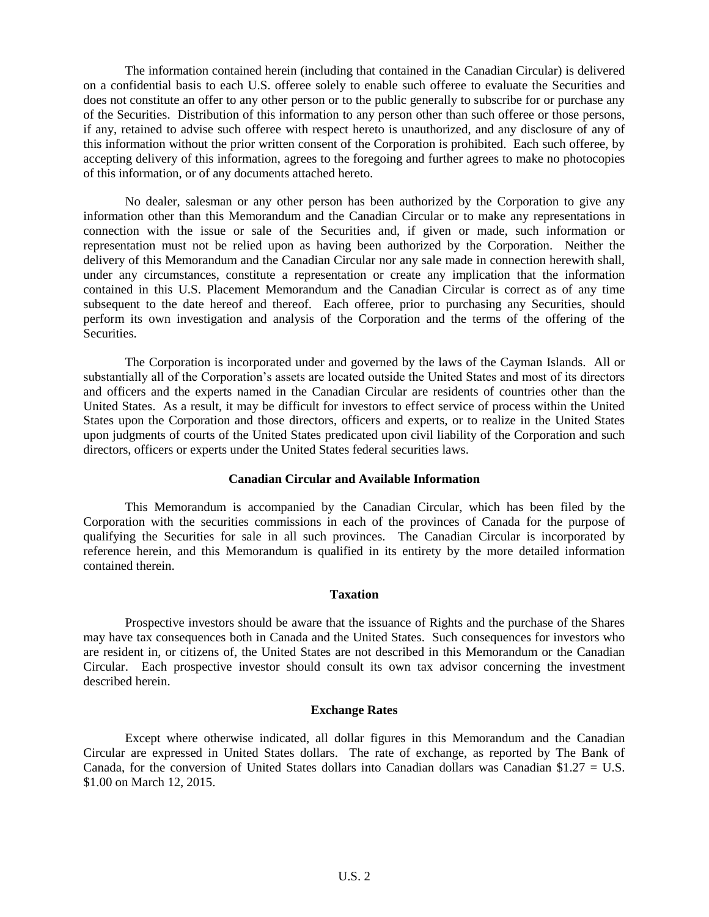The information contained herein (including that contained in the Canadian Circular) is delivered on a confidential basis to each U.S. offeree solely to enable such offeree to evaluate the Securities and does not constitute an offer to any other person or to the public generally to subscribe for or purchase any of the Securities. Distribution of this information to any person other than such offeree or those persons, if any, retained to advise such offeree with respect hereto is unauthorized, and any disclosure of any of this information without the prior written consent of the Corporation is prohibited. Each such offeree, by accepting delivery of this information, agrees to the foregoing and further agrees to make no photocopies of this information, or of any documents attached hereto.

No dealer, salesman or any other person has been authorized by the Corporation to give any information other than this Memorandum and the Canadian Circular or to make any representations in connection with the issue or sale of the Securities and, if given or made, such information or representation must not be relied upon as having been authorized by the Corporation. Neither the delivery of this Memorandum and the Canadian Circular nor any sale made in connection herewith shall, under any circumstances, constitute a representation or create any implication that the information contained in this U.S. Placement Memorandum and the Canadian Circular is correct as of any time subsequent to the date hereof and thereof. Each offeree, prior to purchasing any Securities, should perform its own investigation and analysis of the Corporation and the terms of the offering of the Securities.

The Corporation is incorporated under and governed by the laws of the Cayman Islands. All or substantially all of the Corporation's assets are located outside the United States and most of its directors and officers and the experts named in the Canadian Circular are residents of countries other than the United States. As a result, it may be difficult for investors to effect service of process within the United States upon the Corporation and those directors, officers and experts, or to realize in the United States upon judgments of courts of the United States predicated upon civil liability of the Corporation and such directors, officers or experts under the United States federal securities laws.

#### **Canadian Circular and Available Information**

This Memorandum is accompanied by the Canadian Circular, which has been filed by the Corporation with the securities commissions in each of the provinces of Canada for the purpose of qualifying the Securities for sale in all such provinces. The Canadian Circular is incorporated by reference herein, and this Memorandum is qualified in its entirety by the more detailed information contained therein.

#### **Taxation**

Prospective investors should be aware that the issuance of Rights and the purchase of the Shares may have tax consequences both in Canada and the United States. Such consequences for investors who are resident in, or citizens of, the United States are not described in this Memorandum or the Canadian Circular. Each prospective investor should consult its own tax advisor concerning the investment described herein.

## **Exchange Rates**

Except where otherwise indicated, all dollar figures in this Memorandum and the Canadian Circular are expressed in United States dollars. The rate of exchange, as reported by The Bank of Canada, for the conversion of United States dollars into Canadian dollars was Canadian \$1.27 = U.S. \$1.00 on March 12, 2015.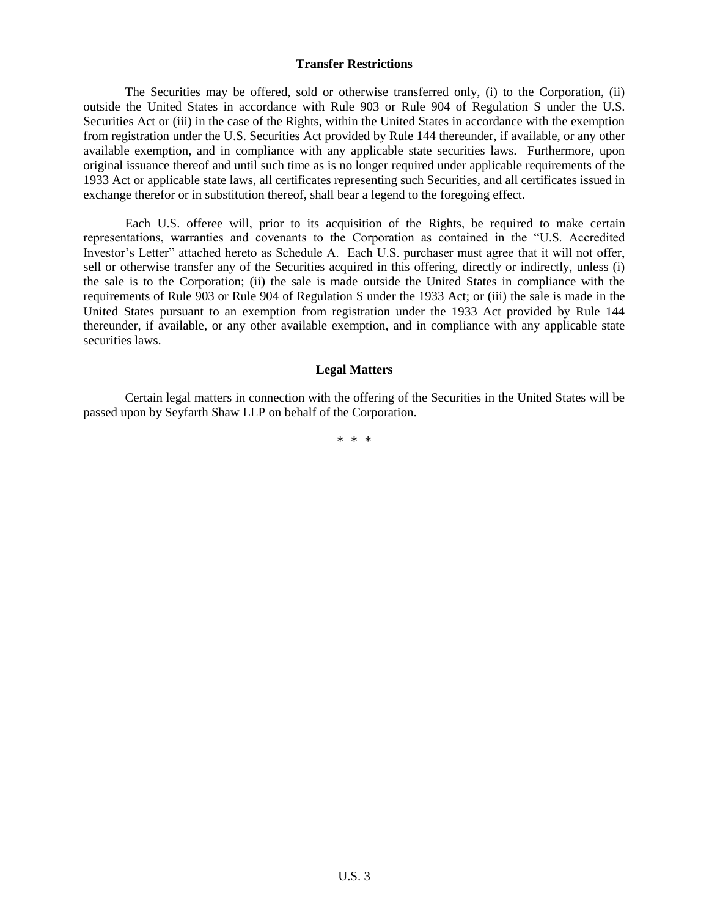#### **Transfer Restrictions**

The Securities may be offered, sold or otherwise transferred only, (i) to the Corporation, (ii) outside the United States in accordance with Rule 903 or Rule 904 of Regulation S under the U.S. Securities Act or (iii) in the case of the Rights, within the United States in accordance with the exemption from registration under the U.S. Securities Act provided by Rule 144 thereunder, if available, or any other available exemption, and in compliance with any applicable state securities laws. Furthermore, upon original issuance thereof and until such time as is no longer required under applicable requirements of the 1933 Act or applicable state laws, all certificates representing such Securities, and all certificates issued in exchange therefor or in substitution thereof, shall bear a legend to the foregoing effect.

Each U.S. offeree will, prior to its acquisition of the Rights, be required to make certain representations, warranties and covenants to the Corporation as contained in the "U.S. Accredited Investor's Letter" attached hereto as Schedule A. Each U.S. purchaser must agree that it will not offer, sell or otherwise transfer any of the Securities acquired in this offering, directly or indirectly, unless (i) the sale is to the Corporation; (ii) the sale is made outside the United States in compliance with the requirements of Rule 903 or Rule 904 of Regulation S under the 1933 Act; or (iii) the sale is made in the United States pursuant to an exemption from registration under the 1933 Act provided by Rule 144 thereunder, if available, or any other available exemption, and in compliance with any applicable state securities laws.

### **Legal Matters**

Certain legal matters in connection with the offering of the Securities in the United States will be passed upon by Seyfarth Shaw LLP on behalf of the Corporation.

\* \* \*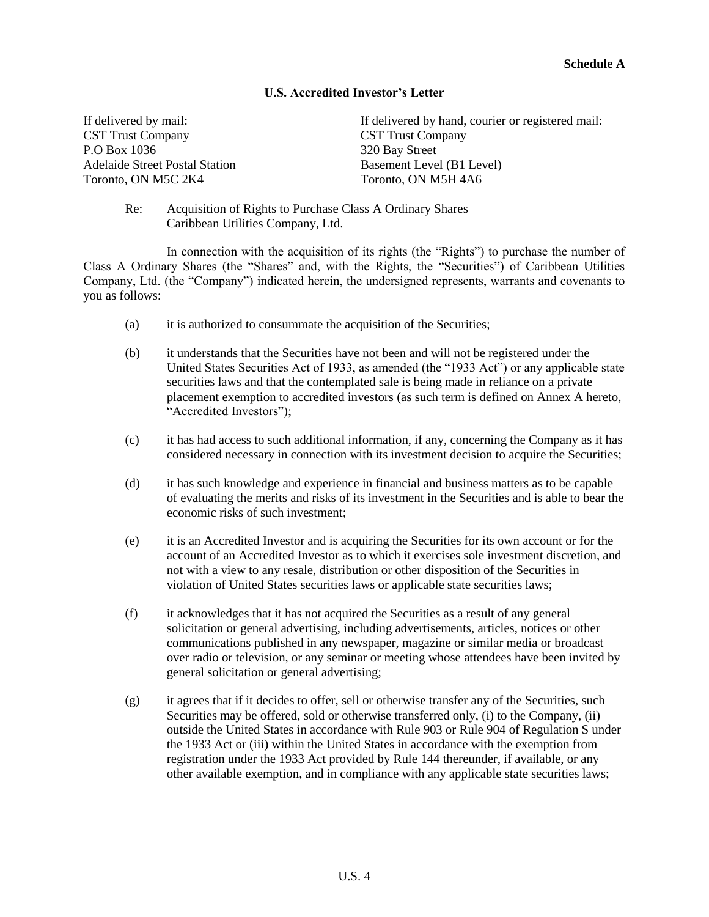## **U.S. Accredited Investor's Letter**

If delivered by mail: CST Trust Company P.O Box 1036 Adelaide Street Postal Station Toronto, ON M5C 2K4

If delivered by hand, courier or registered mail: CST Trust Company 320 Bay Street Basement Level (B1 Level) Toronto, ON M5H 4A6

Re: Acquisition of Rights to Purchase Class A Ordinary Shares Caribbean Utilities Company, Ltd.

In connection with the acquisition of its rights (the "Rights") to purchase the number of Class A Ordinary Shares (the "Shares" and, with the Rights, the "Securities") of Caribbean Utilities Company, Ltd. (the "Company") indicated herein, the undersigned represents, warrants and covenants to you as follows:

- (a) it is authorized to consummate the acquisition of the Securities;
- (b) it understands that the Securities have not been and will not be registered under the United States Securities Act of 1933, as amended (the "1933 Act") or any applicable state securities laws and that the contemplated sale is being made in reliance on a private placement exemption to accredited investors (as such term is defined on Annex A hereto, "Accredited Investors");
- (c) it has had access to such additional information, if any, concerning the Company as it has considered necessary in connection with its investment decision to acquire the Securities;
- (d) it has such knowledge and experience in financial and business matters as to be capable of evaluating the merits and risks of its investment in the Securities and is able to bear the economic risks of such investment;
- (e) it is an Accredited Investor and is acquiring the Securities for its own account or for the account of an Accredited Investor as to which it exercises sole investment discretion, and not with a view to any resale, distribution or other disposition of the Securities in violation of United States securities laws or applicable state securities laws;
- (f) it acknowledges that it has not acquired the Securities as a result of any general solicitation or general advertising, including advertisements, articles, notices or other communications published in any newspaper, magazine or similar media or broadcast over radio or television, or any seminar or meeting whose attendees have been invited by general solicitation or general advertising;
- (g) it agrees that if it decides to offer, sell or otherwise transfer any of the Securities, such Securities may be offered, sold or otherwise transferred only, (i) to the Company, (ii) outside the United States in accordance with Rule 903 or Rule 904 of Regulation S under the 1933 Act or (iii) within the United States in accordance with the exemption from registration under the 1933 Act provided by Rule 144 thereunder, if available, or any other available exemption, and in compliance with any applicable state securities laws;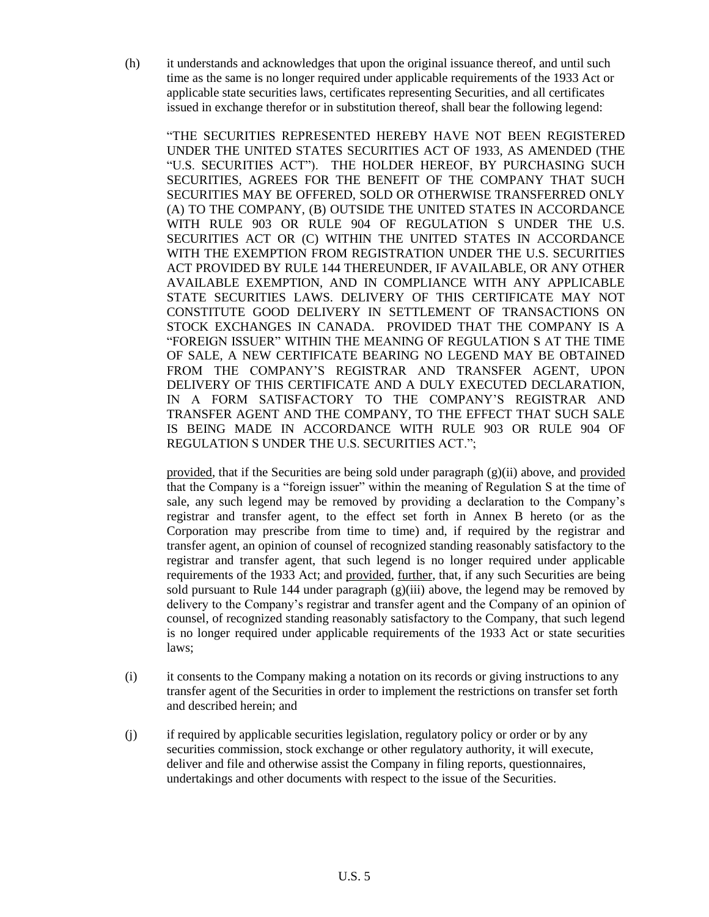(h) it understands and acknowledges that upon the original issuance thereof, and until such time as the same is no longer required under applicable requirements of the 1933 Act or applicable state securities laws, certificates representing Securities, and all certificates issued in exchange therefor or in substitution thereof, shall bear the following legend:

"THE SECURITIES REPRESENTED HEREBY HAVE NOT BEEN REGISTERED UNDER THE UNITED STATES SECURITIES ACT OF 1933, AS AMENDED (THE "U.S. SECURITIES ACT"). THE HOLDER HEREOF, BY PURCHASING SUCH SECURITIES, AGREES FOR THE BENEFIT OF THE COMPANY THAT SUCH SECURITIES MAY BE OFFERED, SOLD OR OTHERWISE TRANSFERRED ONLY (A) TO THE COMPANY, (B) OUTSIDE THE UNITED STATES IN ACCORDANCE WITH RULE 903 OR RULE 904 OF REGULATION S UNDER THE U.S. SECURITIES ACT OR (C) WITHIN THE UNITED STATES IN ACCORDANCE WITH THE EXEMPTION FROM REGISTRATION UNDER THE U.S. SECURITIES ACT PROVIDED BY RULE 144 THEREUNDER, IF AVAILABLE, OR ANY OTHER AVAILABLE EXEMPTION, AND IN COMPLIANCE WITH ANY APPLICABLE STATE SECURITIES LAWS. DELIVERY OF THIS CERTIFICATE MAY NOT CONSTITUTE GOOD DELIVERY IN SETTLEMENT OF TRANSACTIONS ON STOCK EXCHANGES IN CANADA. PROVIDED THAT THE COMPANY IS A "FOREIGN ISSUER" WITHIN THE MEANING OF REGULATION S AT THE TIME OF SALE, A NEW CERTIFICATE BEARING NO LEGEND MAY BE OBTAINED FROM THE COMPANY'S REGISTRAR AND TRANSFER AGENT, UPON DELIVERY OF THIS CERTIFICATE AND A DULY EXECUTED DECLARATION, IN A FORM SATISFACTORY TO THE COMPANY'S REGISTRAR AND TRANSFER AGENT AND THE COMPANY, TO THE EFFECT THAT SUCH SALE IS BEING MADE IN ACCORDANCE WITH RULE 903 OR RULE 904 OF REGULATION S UNDER THE U.S. SECURITIES ACT.";

provided, that if the Securities are being sold under paragraph (g)(ii) above, and provided that the Company is a "foreign issuer" within the meaning of Regulation S at the time of sale, any such legend may be removed by providing a declaration to the Company's registrar and transfer agent, to the effect set forth in Annex B hereto (or as the Corporation may prescribe from time to time) and, if required by the registrar and transfer agent, an opinion of counsel of recognized standing reasonably satisfactory to the registrar and transfer agent, that such legend is no longer required under applicable requirements of the 1933 Act; and provided, further, that, if any such Securities are being sold pursuant to Rule 144 under paragraph  $(g)(iii)$  above, the legend may be removed by delivery to the Company's registrar and transfer agent and the Company of an opinion of counsel, of recognized standing reasonably satisfactory to the Company, that such legend is no longer required under applicable requirements of the 1933 Act or state securities laws;

- (i) it consents to the Company making a notation on its records or giving instructions to any transfer agent of the Securities in order to implement the restrictions on transfer set forth and described herein; and
- (j) if required by applicable securities legislation, regulatory policy or order or by any securities commission, stock exchange or other regulatory authority, it will execute, deliver and file and otherwise assist the Company in filing reports, questionnaires, undertakings and other documents with respect to the issue of the Securities.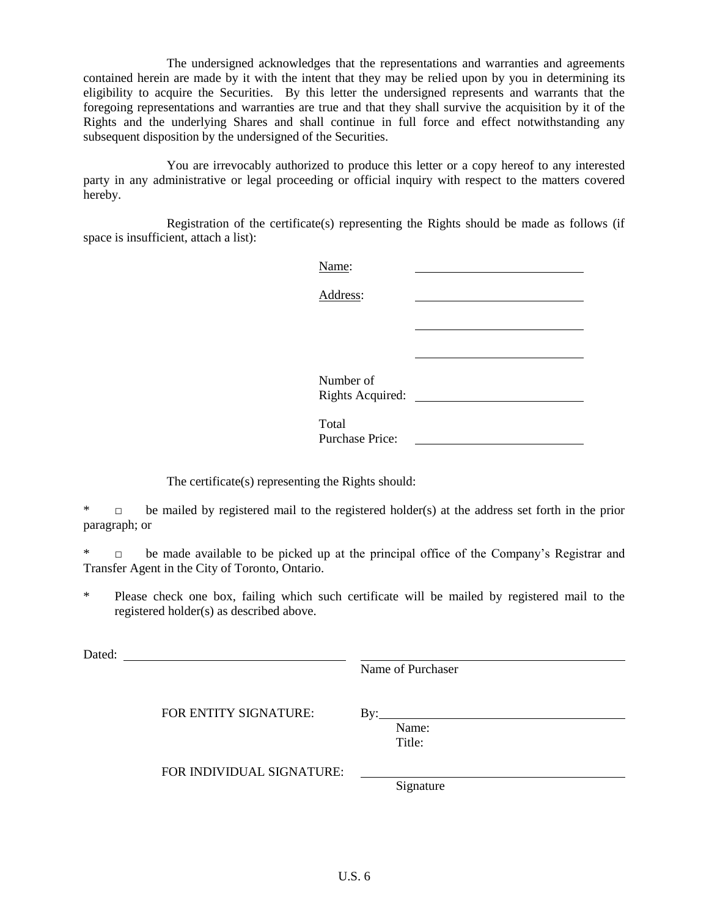The undersigned acknowledges that the representations and warranties and agreements contained herein are made by it with the intent that they may be relied upon by you in determining its eligibility to acquire the Securities. By this letter the undersigned represents and warrants that the foregoing representations and warranties are true and that they shall survive the acquisition by it of the Rights and the underlying Shares and shall continue in full force and effect notwithstanding any subsequent disposition by the undersigned of the Securities.

You are irrevocably authorized to produce this letter or a copy hereof to any interested party in any administrative or legal proceeding or official inquiry with respect to the matters covered hereby.

Registration of the certificate(s) representing the Rights should be made as follows (if space is insufficient, attach a list):

| Name:                  |  |
|------------------------|--|
| Address:               |  |
|                        |  |
|                        |  |
|                        |  |
| Number of              |  |
| Rights Acquired:       |  |
| Total                  |  |
| <b>Purchase Price:</b> |  |

The certificate(s) representing the Rights should:

 $\Box$  be mailed by registered mail to the registered holder(s) at the address set forth in the prior paragraph; or

□ be made available to be picked up at the principal office of the Company's Registrar and Transfer Agent in the City of Toronto, Ontario.

\* Please check one box, failing which such certificate will be mailed by registered mail to the registered holder(s) as described above.

Dated: **Dated:** 

Name of Purchaser

FOR ENTITY SIGNATURE: By:

Name: Title:

FOR INDIVIDUAL SIGNATURE:

Signature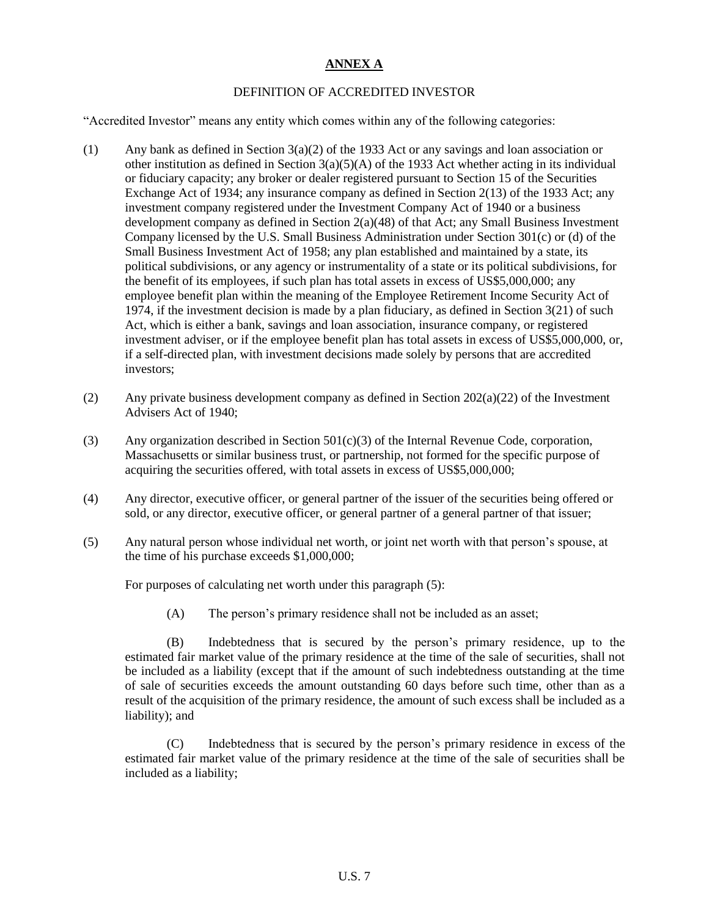# **ANNEX A**

## DEFINITION OF ACCREDITED INVESTOR

"Accredited Investor" means any entity which comes within any of the following categories:

- (1) Any bank as defined in Section 3(a)(2) of the 1933 Act or any savings and loan association or other institution as defined in Section  $3(a)(5)(A)$  of the 1933 Act whether acting in its individual or fiduciary capacity; any broker or dealer registered pursuant to Section 15 of the Securities Exchange Act of 1934; any insurance company as defined in Section 2(13) of the 1933 Act; any investment company registered under the Investment Company Act of 1940 or a business development company as defined in Section  $2(a)(48)$  of that Act; any Small Business Investment Company licensed by the U.S. Small Business Administration under Section 301(c) or (d) of the Small Business Investment Act of 1958; any plan established and maintained by a state, its political subdivisions, or any agency or instrumentality of a state or its political subdivisions, for the benefit of its employees, if such plan has total assets in excess of US\$5,000,000; any employee benefit plan within the meaning of the Employee Retirement Income Security Act of 1974, if the investment decision is made by a plan fiduciary, as defined in Section 3(21) of such Act, which is either a bank, savings and loan association, insurance company, or registered investment adviser, or if the employee benefit plan has total assets in excess of US\$5,000,000, or, if a self-directed plan, with investment decisions made solely by persons that are accredited investors;
- (2) Any private business development company as defined in Section 202(a)(22) of the Investment Advisers Act of 1940;
- (3) Any organization described in Section  $501(c)(3)$  of the Internal Revenue Code, corporation, Massachusetts or similar business trust, or partnership, not formed for the specific purpose of acquiring the securities offered, with total assets in excess of US\$5,000,000;
- (4) Any director, executive officer, or general partner of the issuer of the securities being offered or sold, or any director, executive officer, or general partner of a general partner of that issuer;
- (5) Any natural person whose individual net worth, or joint net worth with that person's spouse, at the time of his purchase exceeds \$1,000,000;

For purposes of calculating net worth under this paragraph (5):

(A) The person's primary residence shall not be included as an asset;

(B) Indebtedness that is secured by the person's primary residence, up to the estimated fair market value of the primary residence at the time of the sale of securities, shall not be included as a liability (except that if the amount of such indebtedness outstanding at the time of sale of securities exceeds the amount outstanding 60 days before such time, other than as a result of the acquisition of the primary residence, the amount of such excess shall be included as a liability); and

(C) Indebtedness that is secured by the person's primary residence in excess of the estimated fair market value of the primary residence at the time of the sale of securities shall be included as a liability;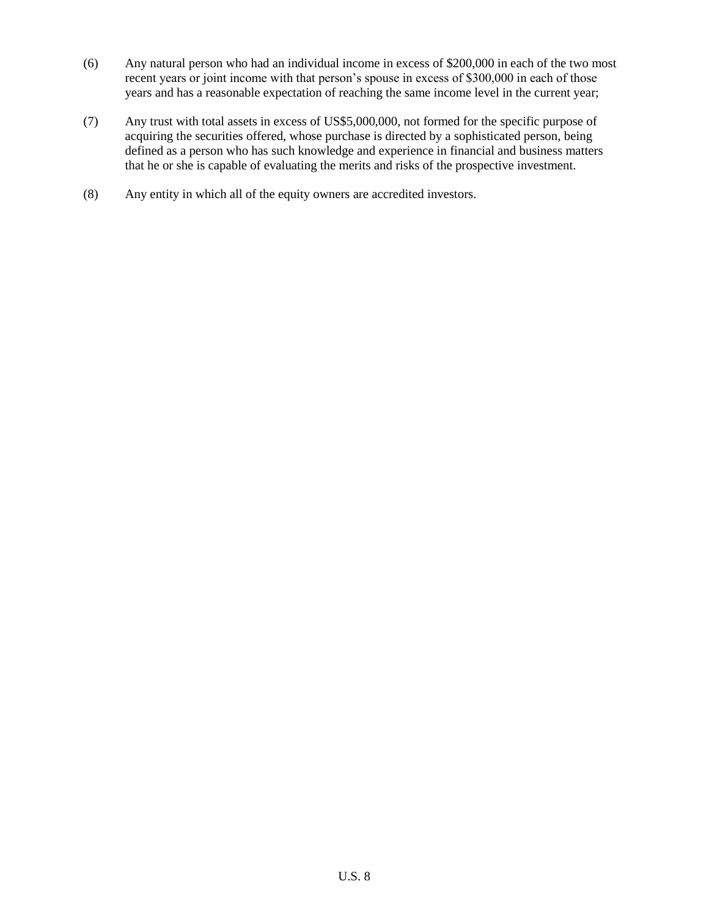- (6) Any natural person who had an individual income in excess of \$200,000 in each of the two most recent years or joint income with that person's spouse in excess of \$300,000 in each of those years and has a reasonable expectation of reaching the same income level in the current year;
- (7) Any trust with total assets in excess of US\$5,000,000, not formed for the specific purpose of acquiring the securities offered, whose purchase is directed by a sophisticated person, being defined as a person who has such knowledge and experience in financial and business matters that he or she is capable of evaluating the merits and risks of the prospective investment.
- (8) Any entity in which all of the equity owners are accredited investors.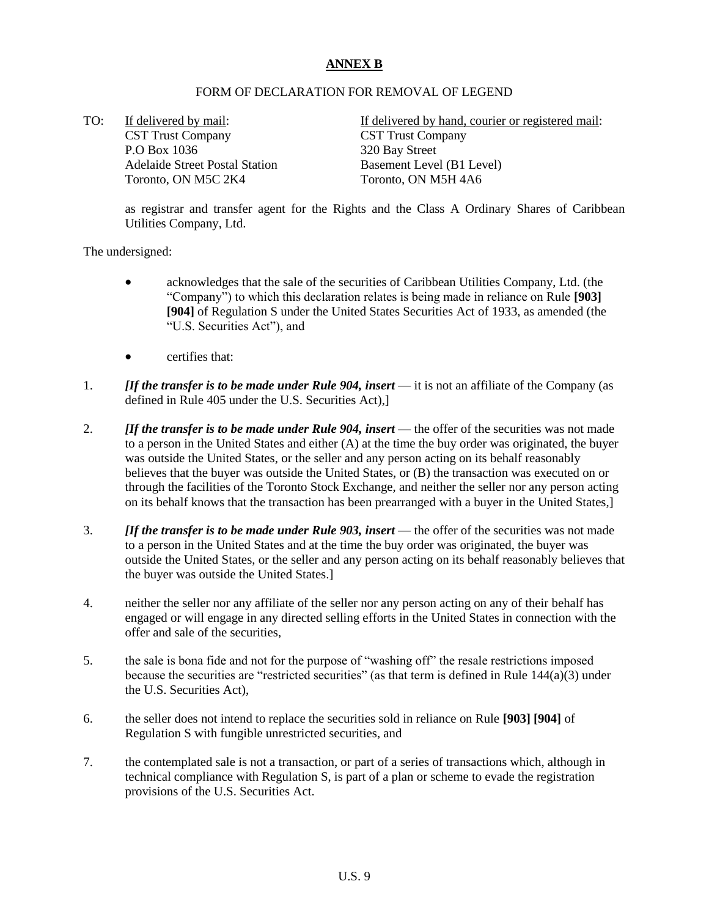## **ANNEX B**

## FORM OF DECLARATION FOR REMOVAL OF LEGEND

TO: If delivered by mail: CST Trust Company P.O Box 1036 Adelaide Street Postal Station Toronto, ON M5C 2K4

If delivered by hand, courier or registered mail: CST Trust Company 320 Bay Street Basement Level (B1 Level) Toronto, ON M5H 4A6

as registrar and transfer agent for the Rights and the Class A Ordinary Shares of Caribbean Utilities Company, Ltd.

The undersigned:

- acknowledges that the sale of the securities of Caribbean Utilities Company, Ltd. (the "Company") to which this declaration relates is being made in reliance on Rule **[903] [904]** of Regulation S under the United States Securities Act of 1933, as amended (the "U.S. Securities Act"), and
- certifies that:
- 1. *[If the transfer is to be made under Rule 904, insert* it is not an affiliate of the Company (as defined in Rule 405 under the U.S. Securities Act),]
- 2. *[If the transfer is to be made under Rule 904, insert* the offer of the securities was not made to a person in the United States and either (A) at the time the buy order was originated, the buyer was outside the United States, or the seller and any person acting on its behalf reasonably believes that the buyer was outside the United States, or (B) the transaction was executed on or through the facilities of the Toronto Stock Exchange, and neither the seller nor any person acting on its behalf knows that the transaction has been prearranged with a buyer in the United States,]
- 3. *[If the transfer is to be made under Rule 903, insert* the offer of the securities was not made to a person in the United States and at the time the buy order was originated, the buyer was outside the United States, or the seller and any person acting on its behalf reasonably believes that the buyer was outside the United States.]
- 4. neither the seller nor any affiliate of the seller nor any person acting on any of their behalf has engaged or will engage in any directed selling efforts in the United States in connection with the offer and sale of the securities,
- 5. the sale is bona fide and not for the purpose of "washing off" the resale restrictions imposed because the securities are "restricted securities" (as that term is defined in Rule  $144(a)(3)$  under the U.S. Securities Act),
- 6. the seller does not intend to replace the securities sold in reliance on Rule **[903] [904]** of Regulation S with fungible unrestricted securities, and
- 7. the contemplated sale is not a transaction, or part of a series of transactions which, although in technical compliance with Regulation S, is part of a plan or scheme to evade the registration provisions of the U.S. Securities Act.